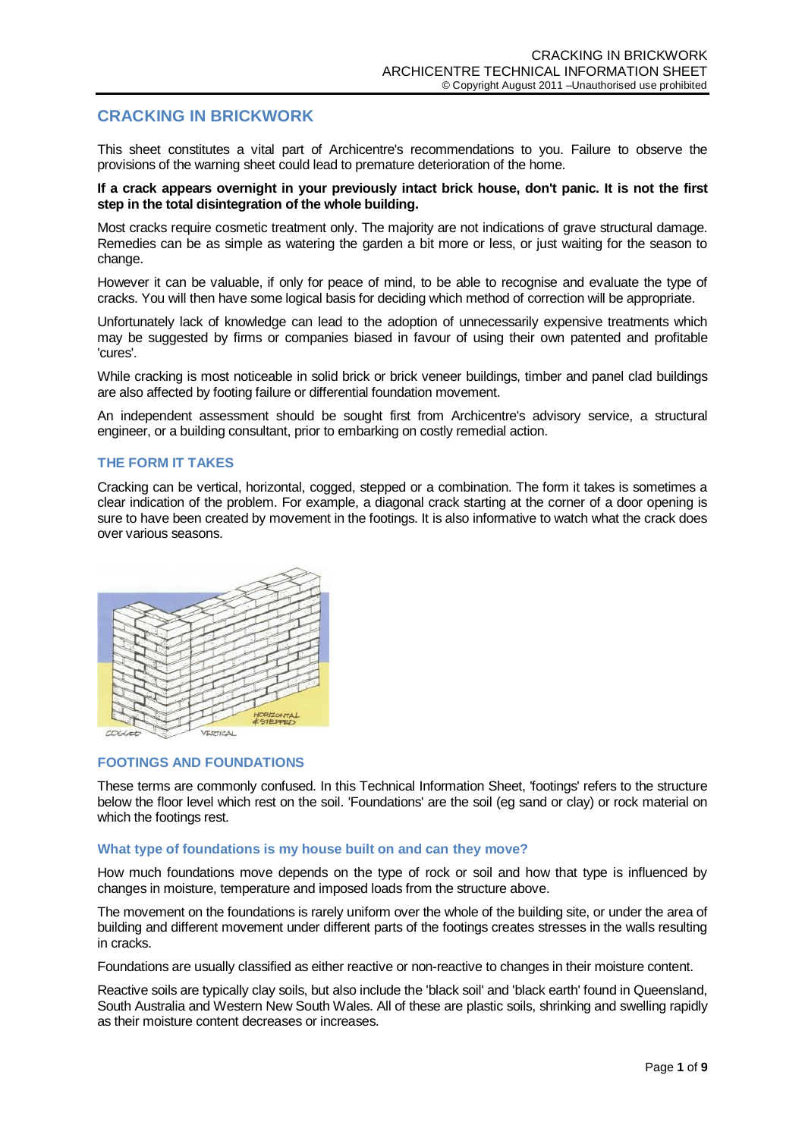# **CRACKING IN BRICKWORK**

This sheet constitutes a vital part of Archicentre's recommendations to you. Failure to observe the provisions of the warning sheet could lead to premature deterioration of the home.

### **If a crack appears overnight in your previously intact brick house, don't panic. It is not the first step in the total disintegration of the whole building.**

Most cracks require cosmetic treatment only. The majority are not indications of grave structural damage. Remedies can be as simple as watering the garden a bit more or less, or just waiting for the season to change.

However it can be valuable, if only for peace of mind, to be able to recognise and evaluate the type of cracks. You will then have some logical basis for deciding which method of correction will be appropriate.

Unfortunately lack of knowledge can lead to the adoption of unnecessarily expensive treatments which may be suggested by firms or companies biased in favour of using their own patented and profitable 'cures'.

While cracking is most noticeable in solid brick or brick veneer buildings, timber and panel clad buildings are also affected by footing failure or differential foundation movement.

An independent assessment should be sought first from Archicentre's advisory service, a structural engineer, or a building consultant, prior to embarking on costly remedial action.

# **THE FORM IT TAKES**

Cracking can be vertical, horizontal, cogged, stepped or a combination. The form it takes is sometimes a clear indication of the problem. For example, a diagonal crack starting at the corner of a door opening is sure to have been created by movement in the footings. It is also informative to watch what the crack does over various seasons.



# **FOOTINGS AND FOUNDATIONS**

These terms are commonly confused. In this Technical Information Sheet, 'footings' refers to the structure below the floor level which rest on the soil. 'Foundations' are the soil (eg sand or clay) or rock material on which the footings rest.

# **What type of foundations is my house built on and can they move?**

How much foundations move depends on the type of rock or soil and how that type is influenced by changes in moisture, temperature and imposed loads from the structure above.

The movement on the foundations is rarely uniform over the whole of the building site, or under the area of building and different movement under different parts of the footings creates stresses in the walls resulting in cracks.

Foundations are usually classified as either reactive or non-reactive to changes in their moisture content.

Reactive soils are typically clay soils, but also include the 'black soil' and 'black earth' found in Queensland, South Australia and Western New South Wales. All of these are plastic soils, shrinking and swelling rapidly as their moisture content decreases or increases.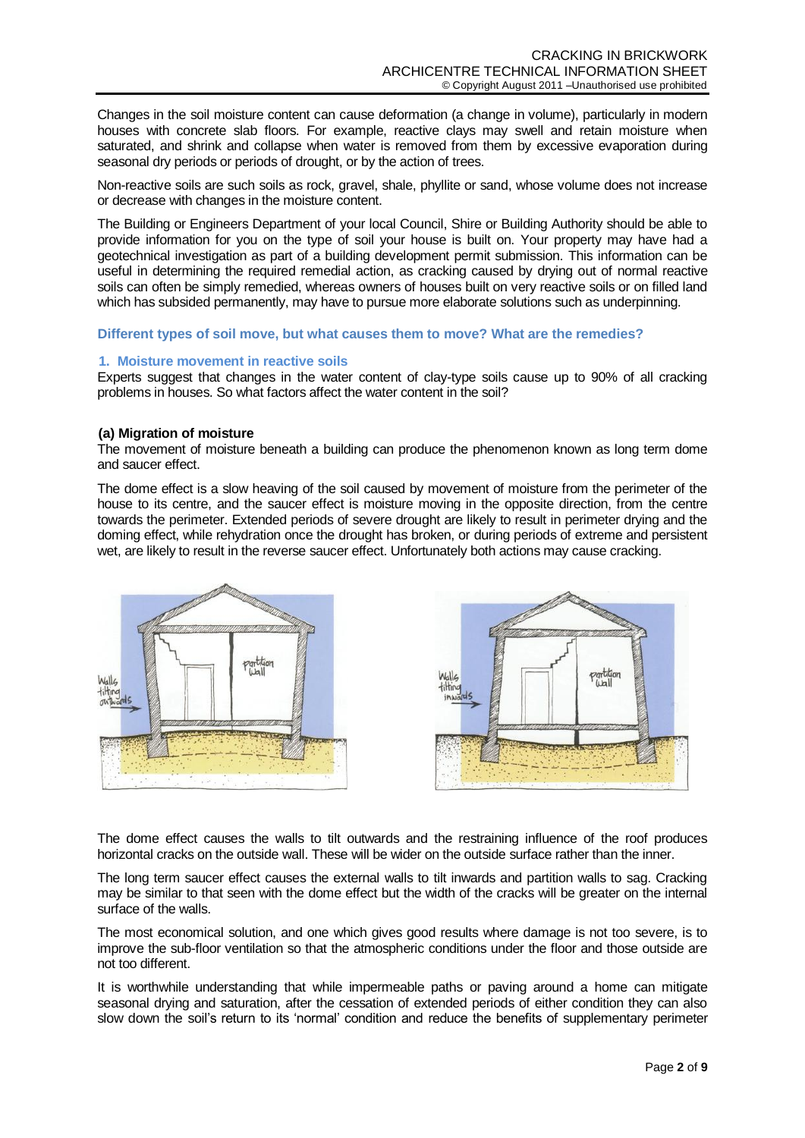Changes in the soil moisture content can cause deformation (a change in volume), particularly in modern houses with concrete slab floors. For example, reactive clays may swell and retain moisture when saturated, and shrink and collapse when water is removed from them by excessive evaporation during seasonal dry periods or periods of drought, or by the action of trees.

Non-reactive soils are such soils as rock, gravel, shale, phyllite or sand, whose volume does not increase or decrease with changes in the moisture content.

The Building or Engineers Department of your local Council, Shire or Building Authority should be able to provide information for you on the type of soil your house is built on. Your property may have had a geotechnical investigation as part of a building development permit submission. This information can be useful in determining the required remedial action, as cracking caused by drying out of normal reactive soils can often be simply remedied, whereas owners of houses built on very reactive soils or on filled land which has subsided permanently, may have to pursue more elaborate solutions such as underpinning.

#### **Different types of soil move, but what causes them to move? What are the remedies?**

### **1. Moisture movement in reactive soils**

Experts suggest that changes in the water content of clay-type soils cause up to 90% of all cracking problems in houses. So what factors affect the water content in the soil?

### **(a) Migration of moisture**

The movement of moisture beneath a building can produce the phenomenon known as long term dome and saucer effect.

The dome effect is a slow heaving of the soil caused by movement of moisture from the perimeter of the house to its centre, and the saucer effect is moisture moving in the opposite direction, from the centre towards the perimeter. Extended periods of severe drought are likely to result in perimeter drying and the doming effect, while rehydration once the drought has broken, or during periods of extreme and persistent wet, are likely to result in the reverse saucer effect. Unfortunately both actions may cause cracking.



The dome effect causes the walls to tilt outwards and the restraining influence of the roof produces horizontal cracks on the outside wall. These will be wider on the outside surface rather than the inner.

The long term saucer effect causes the external walls to tilt inwards and partition walls to sag. Cracking may be similar to that seen with the dome effect but the width of the cracks will be greater on the internal surface of the walls.

The most economical solution, and one which gives good results where damage is not too severe, is to improve the sub-floor ventilation so that the atmospheric conditions under the floor and those outside are not too different.

It is worthwhile understanding that while impermeable paths or paving around a home can mitigate seasonal drying and saturation, after the cessation of extended periods of either condition they can also slow down the soil's return to its 'normal' condition and reduce the benefits of supplementary perimeter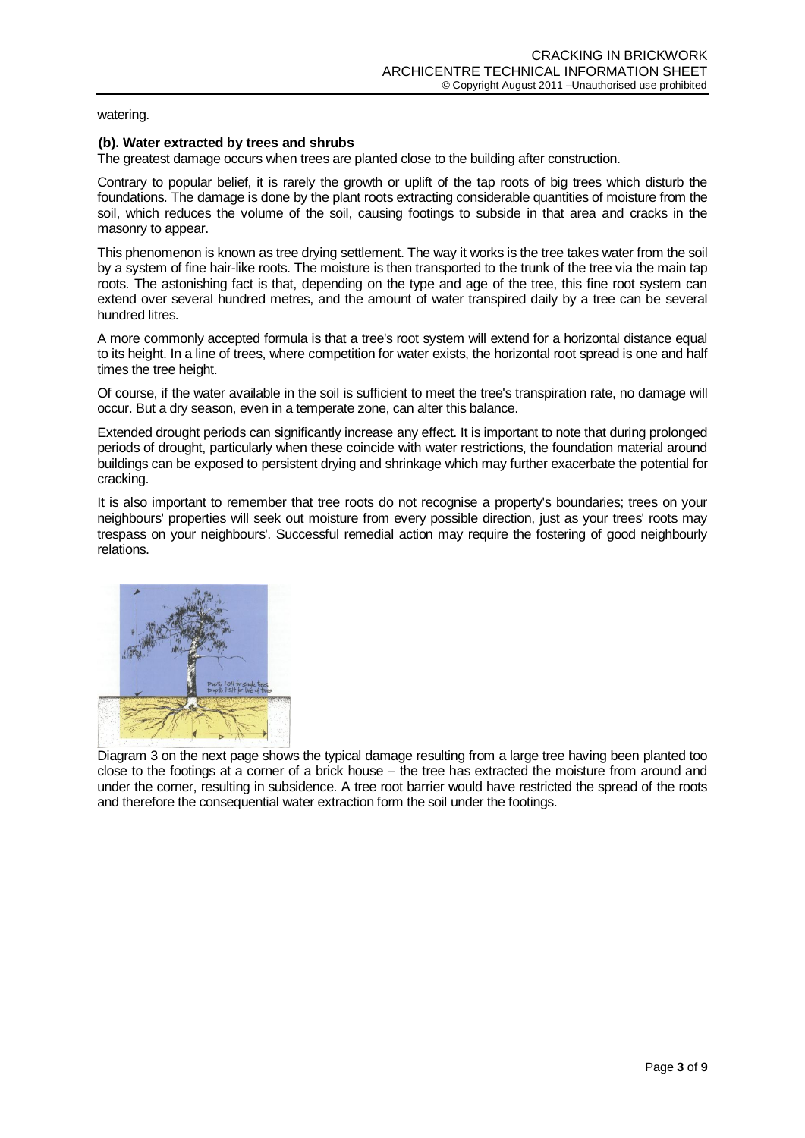watering.

# **(b). Water extracted by trees and shrubs**

The greatest damage occurs when trees are planted close to the building after construction.

Contrary to popular belief, it is rarely the growth or uplift of the tap roots of big trees which disturb the foundations. The damage is done by the plant roots extracting considerable quantities of moisture from the soil, which reduces the volume of the soil, causing footings to subside in that area and cracks in the masonry to appear.

This phenomenon is known as tree drying settlement. The way it works is the tree takes water from the soil by a system of fine hair-like roots. The moisture is then transported to the trunk of the tree via the main tap roots. The astonishing fact is that, depending on the type and age of the tree, this fine root system can extend over several hundred metres, and the amount of water transpired daily by a tree can be several hundred litres.

A more commonly accepted formula is that a tree's root system will extend for a horizontal distance equal to its height. In a line of trees, where competition for water exists, the horizontal root spread is one and half times the tree height.

Of course, if the water available in the soil is sufficient to meet the tree's transpiration rate, no damage will occur. But a dry season, even in a temperate zone, can alter this balance.

Extended drought periods can significantly increase any effect. It is important to note that during prolonged periods of drought, particularly when these coincide with water restrictions, the foundation material around buildings can be exposed to persistent drying and shrinkage which may further exacerbate the potential for cracking.

It is also important to remember that tree roots do not recognise a property's boundaries; trees on your neighbours' properties will seek out moisture from every possible direction, just as your trees' roots may trespass on your neighbours'. Successful remedial action may require the fostering of good neighbourly relations.



Diagram 3 on the next page shows the typical damage resulting from a large tree having been planted too close to the footings at a corner of a brick house – the tree has extracted the moisture from around and under the corner, resulting in subsidence. A tree root barrier would have restricted the spread of the roots and therefore the consequential water extraction form the soil under the footings.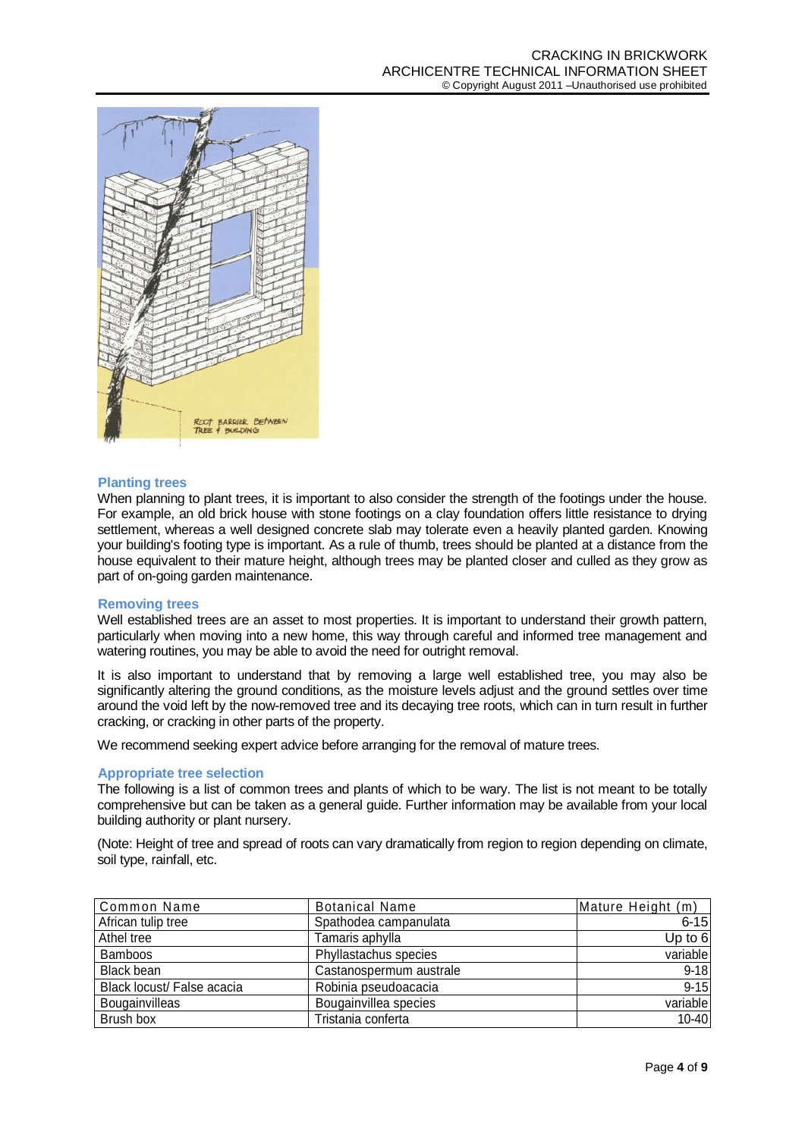

# **Planting trees**

When planning to plant trees, it is important to also consider the strength of the footings under the house. For example, an old brick house with stone footings on a clay foundation offers little resistance to drying settlement, whereas a well designed concrete slab may tolerate even a heavily planted garden. Knowing your building's footing type is important. As a rule of thumb, trees should be planted at a distance from the house equivalent to their mature height, although trees may be planted closer and culled as they grow as part of on-going garden maintenance.

#### **Removing trees**

Well established trees are an asset to most properties. It is important to understand their growth pattern, particularly when moving into a new home, this way through careful and informed tree management and watering routines, you may be able to avoid the need for outright removal.

It is also important to understand that by removing a large well established tree, you may also be significantly altering the ground conditions, as the moisture levels adjust and the ground settles over time around the void left by the now-removed tree and its decaying tree roots, which can in turn result in further cracking, or cracking in other parts of the property.

We recommend seeking expert advice before arranging for the removal of mature trees.

#### **Appropriate tree selection**

The following is a list of common trees and plants of which to be wary. The list is not meant to be totally comprehensive but can be taken as a general guide. Further information may be available from your local building authority or plant nursery.

(Note: Height of tree and spread of roots can vary dramatically from region to region depending on climate, soil type, rainfall, etc.

| Common Name                | <b>Botanical Name</b>   | Mature Height (m) |
|----------------------------|-------------------------|-------------------|
| African tulip tree         | Spathodea campanulata   | $6 - 15$          |
| Athel tree                 | Tamaris aphylla         | Up to 6           |
| <b>Bamboos</b>             | Phyllastachus species   | variable          |
| Black bean                 | Castanospermum australe | $9 - 18$          |
| Black locust/ False acacia | Robinia pseudoacacia    | $9 - 15$          |
| Bougainvilleas             | Bougainvillea species   | variable          |
| Brush box                  | Tristania conferta      | $10 - 40$         |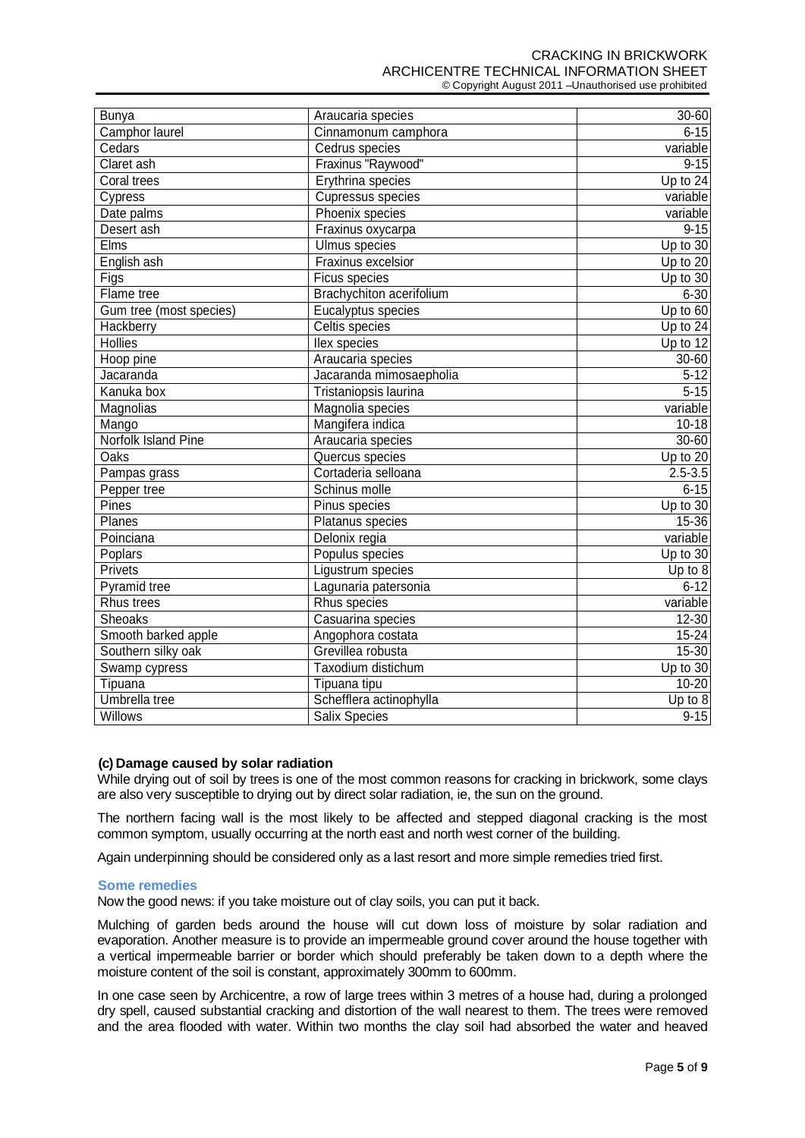CRACKING IN BRICKWORK ARCHICENTRE TECHNICAL INFORMATION SHEET © Copyright August 2011 –Unauthorised use prohibited

| <b>Bunya</b>            | Araucaria species        | 30-60       |
|-------------------------|--------------------------|-------------|
| Camphor laurel          | Cinnamonum camphora      | $6 - 15$    |
| Cedars                  | Cedrus species           | variable    |
| Claret ash              | Fraxinus "Raywood"       | $9 - 15$    |
| Coral trees             | Erythrina species        | Up to 24    |
| Cypress                 | Cupressus species        | variable    |
| Date palms              | Phoenix species          | variable    |
| Desert ash              | Fraxinus oxycarpa        | $9 - 15$    |
| <b>Elms</b>             | <b>Ulmus</b> species     | Up to 30    |
| English ash             | Fraxinus excelsior       | Up to 20    |
| Figs                    | Ficus species            | Up to 30    |
| Flame tree              | Brachychiton acerifolium | $6 - 30$    |
| Gum tree (most species) | Eucalyptus species       | Up to 60    |
| <b>Hackberry</b>        | Celtis species           | Up to 24    |
| <b>Hollies</b>          | llex species             | Up to 12    |
| Hoop pine               | Araucaria species        | 30-60       |
| Jacaranda               | Jacaranda mimosaepholia  | $5 - 12$    |
| Kanuka box              | Tristaniopsis laurina    | $5 - 15$    |
| Magnolias               | Magnolia species         | variable    |
| Mango                   | Mangifera indica         | $10 - 18$   |
| Norfolk Island Pine     | Araucaria species        | 30-60       |
| <b>Oaks</b>             | Quercus species          | Up to 20    |
| Pampas grass            | Cortaderia selloana      | $2.5 - 3.5$ |
| Pepper tree             | Schinus molle            | $6 - 15$    |
| Pines                   | Pinus species            | Up to $30$  |
| Planes                  | Platanus species         | 15-36       |
| Poinciana               | Delonix regia            | variable    |
| Poplars                 | Populus species          | Up to 30    |
| Privets                 | Ligustrum species        | Up to 8     |
| Pyramid tree            | Lagunaria patersonia     | $6 - 12$    |
| Rhus trees              | Rhus species             | variable    |
| <b>Sheoaks</b>          | Casuarina species        | 12-30       |
| Smooth barked apple     | Angophora costata        | 15-24       |
| Southern silky oak      | Grevillea robusta        | $15 - 30$   |
| Swamp cypress           | Taxodium distichum       | Up to 30    |
| Tipuana                 | Tipuana tipu             | $10 - 20$   |
| Umbrella tree           | Schefflera actinophylla  | Up to 8     |
| <b>Willows</b>          | <b>Salix Species</b>     | $9 - 15$    |

# **(c) Damage caused by solar radiation**

While drying out of soil by trees is one of the most common reasons for cracking in brickwork, some clays are also very susceptible to drying out by direct solar radiation, ie, the sun on the ground.

The northern facing wall is the most likely to be affected and stepped diagonal cracking is the most common symptom, usually occurring at the north east and north west corner of the building.

Again underpinning should be considered only as a last resort and more simple remedies tried first.

#### **Some remedies**

Now the good news: if you take moisture out of clay soils, you can put it back.

Mulching of garden beds around the house will cut down loss of moisture by solar radiation and evaporation. Another measure is to provide an impermeable ground cover around the house together with a vertical impermeable barrier or border which should preferably be taken down to a depth where the moisture content of the soil is constant, approximately 300mm to 600mm.

In one case seen by Archicentre, a row of large trees within 3 metres of a house had, during a prolonged dry spell, caused substantial cracking and distortion of the wall nearest to them. The trees were removed and the area flooded with water. Within two months the clay soil had absorbed the water and heaved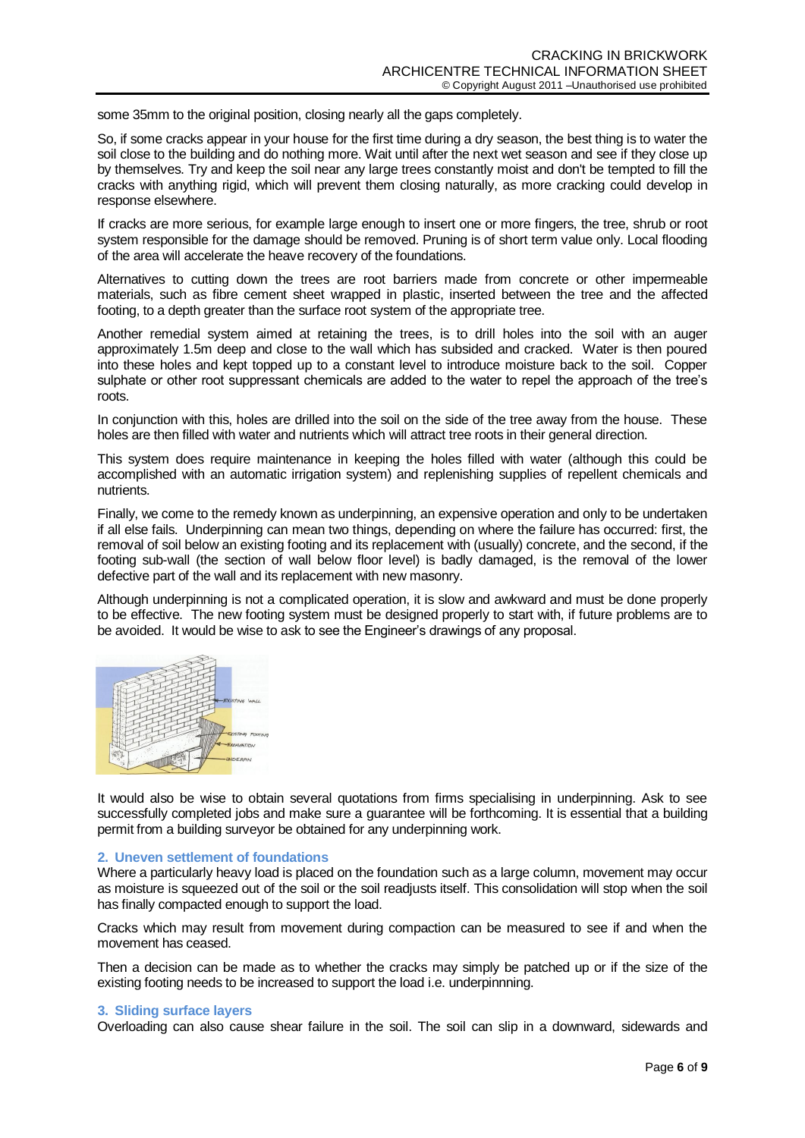some 35mm to the original position, closing nearly all the gaps completely.

So, if some cracks appear in your house for the first time during a dry season, the best thing is to water the soil close to the building and do nothing more. Wait until after the next wet season and see if they close up by themselves. Try and keep the soil near any large trees constantly moist and don't be tempted to fill the cracks with anything rigid, which will prevent them closing naturally, as more cracking could develop in response elsewhere.

If cracks are more serious, for example large enough to insert one or more fingers, the tree, shrub or root system responsible for the damage should be removed. Pruning is of short term value only. Local flooding of the area will accelerate the heave recovery of the foundations.

Alternatives to cutting down the trees are root barriers made from concrete or other impermeable materials, such as fibre cement sheet wrapped in plastic, inserted between the tree and the affected footing, to a depth greater than the surface root system of the appropriate tree.

Another remedial system aimed at retaining the trees, is to drill holes into the soil with an auger approximately 1.5m deep and close to the wall which has subsided and cracked. Water is then poured into these holes and kept topped up to a constant level to introduce moisture back to the soil. Copper sulphate or other root suppressant chemicals are added to the water to repel the approach of the tree's roots.

In conjunction with this, holes are drilled into the soil on the side of the tree away from the house. These holes are then filled with water and nutrients which will attract tree roots in their general direction.

This system does require maintenance in keeping the holes filled with water (although this could be accomplished with an automatic irrigation system) and replenishing supplies of repellent chemicals and nutrients.

Finally, we come to the remedy known as underpinning, an expensive operation and only to be undertaken if all else fails. Underpinning can mean two things, depending on where the failure has occurred: first, the removal of soil below an existing footing and its replacement with (usually) concrete, and the second, if the footing sub-wall (the section of wall below floor level) is badly damaged, is the removal of the lower defective part of the wall and its replacement with new masonry.

Although underpinning is not a complicated operation, it is slow and awkward and must be done properly to be effective. The new footing system must be designed properly to start with, if future problems are to be avoided. It would be wise to ask to see the Engineer's drawings of any proposal.



It would also be wise to obtain several quotations from firms specialising in underpinning. Ask to see successfully completed jobs and make sure a guarantee will be forthcoming. It is essential that a building permit from a building surveyor be obtained for any underpinning work.

#### **2. Uneven settlement of foundations**

Where a particularly heavy load is placed on the foundation such as a large column, movement may occur as moisture is squeezed out of the soil or the soil readjusts itself. This consolidation will stop when the soil has finally compacted enough to support the load.

Cracks which may result from movement during compaction can be measured to see if and when the movement has ceased.

Then a decision can be made as to whether the cracks may simply be patched up or if the size of the existing footing needs to be increased to support the load i.e. underpinnning.

### **3. Sliding surface layers**

Overloading can also cause shear failure in the soil. The soil can slip in a downward, sidewards and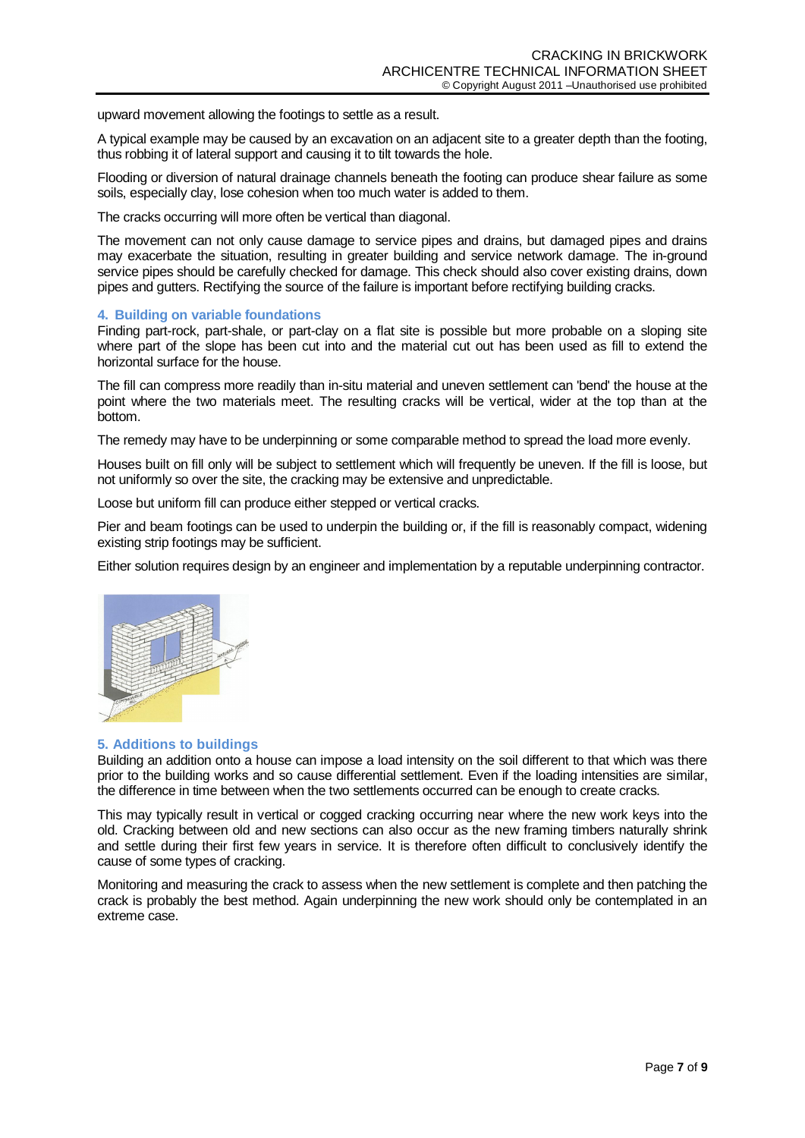upward movement allowing the footings to settle as a result.

A typical example may be caused by an excavation on an adjacent site to a greater depth than the footing, thus robbing it of lateral support and causing it to tilt towards the hole.

Flooding or diversion of natural drainage channels beneath the footing can produce shear failure as some soils, especially clay, lose cohesion when too much water is added to them.

The cracks occurring will more often be vertical than diagonal.

The movement can not only cause damage to service pipes and drains, but damaged pipes and drains may exacerbate the situation, resulting in greater building and service network damage. The in-ground service pipes should be carefully checked for damage. This check should also cover existing drains, down pipes and gutters. Rectifying the source of the failure is important before rectifying building cracks.

### **4. Building on variable foundations**

Finding part-rock, part-shale, or part-clay on a flat site is possible but more probable on a sloping site where part of the slope has been cut into and the material cut out has been used as fill to extend the horizontal surface for the house.

The fill can compress more readily than in-situ material and uneven settlement can 'bend' the house at the point where the two materials meet. The resulting cracks will be vertical, wider at the top than at the bottom.

The remedy may have to be underpinning or some comparable method to spread the load more evenly.

Houses built on fill only will be subject to settlement which will frequently be uneven. If the fill is loose, but not uniformly so over the site, the cracking may be extensive and unpredictable.

Loose but uniform fill can produce either stepped or vertical cracks.

Pier and beam footings can be used to underpin the building or, if the fill is reasonably compact, widening existing strip footings may be sufficient.

Either solution requires design by an engineer and implementation by a reputable underpinning contractor.



# **5. Additions to buildings**

Building an addition onto a house can impose a load intensity on the soil different to that which was there prior to the building works and so cause differential settlement. Even if the loading intensities are similar, the difference in time between when the two settlements occurred can be enough to create cracks.

This may typically result in vertical or cogged cracking occurring near where the new work keys into the old. Cracking between old and new sections can also occur as the new framing timbers naturally shrink and settle during their first few years in service. It is therefore often difficult to conclusively identify the cause of some types of cracking.

Monitoring and measuring the crack to assess when the new settlement is complete and then patching the crack is probably the best method. Again underpinning the new work should only be contemplated in an extreme case.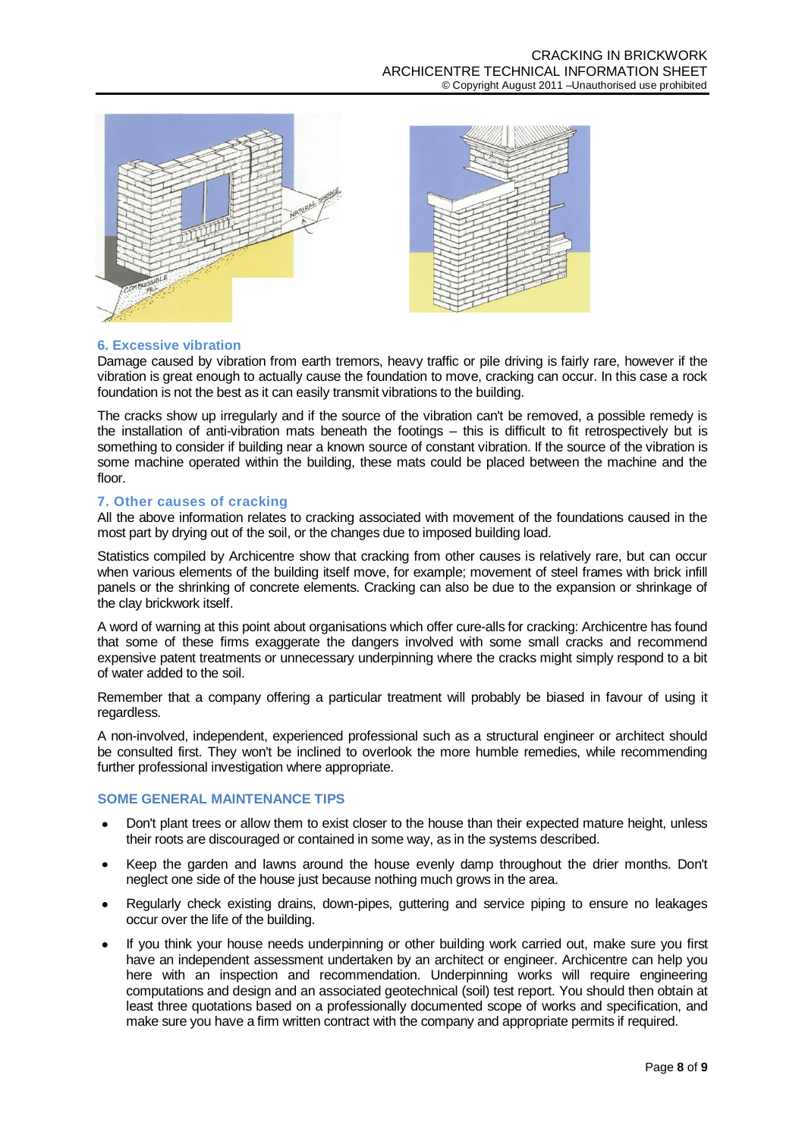



# **6. Excessive vibration**

Damage caused by vibration from earth tremors, heavy traffic or pile driving is fairly rare, however if the vibration is great enough to actually cause the foundation to move, cracking can occur. In this case a rock foundation is not the best as it can easily transmit vibrations to the building.

The cracks show up irregularly and if the source of the vibration can't be removed, a possible remedy is the installation of anti-vibration mats beneath the footings – this is difficult to fit retrospectively but is something to consider if building near a known source of constant vibration. If the source of the vibration is some machine operated within the building, these mats could be placed between the machine and the floor.

# **7. Other causes of cracking**

All the above information relates to cracking associated with movement of the foundations caused in the most part by drying out of the soil, or the changes due to imposed building load.

Statistics compiled by Archicentre show that cracking from other causes is relatively rare, but can occur when various elements of the building itself move, for example; movement of steel frames with brick infill panels or the shrinking of concrete elements. Cracking can also be due to the expansion or shrinkage of the clay brickwork itself.

A word of warning at this point about organisations which offer cure-alls for cracking: Archicentre has found that some of these firms exaggerate the dangers involved with some small cracks and recommend expensive patent treatments or unnecessary underpinning where the cracks might simply respond to a bit of water added to the soil.

Remember that a company offering a particular treatment will probably be biased in favour of using it regardless.

A non-involved, independent, experienced professional such as a structural engineer or architect should be consulted first. They won't be inclined to overlook the more humble remedies, while recommending further professional investigation where appropriate.

# **SOME GENERAL MAINTENANCE TIPS**

- Don't plant trees or allow them to exist closer to the house than their expected mature height, unless their roots are discouraged or contained in some way, as in the systems described.
- Keep the garden and lawns around the house evenly damp throughout the drier months. Don't neglect one side of the house just because nothing much grows in the area.
- Regularly check existing drains, down-pipes, guttering and service piping to ensure no leakages  $\bullet$ occur over the life of the building.
- If you think your house needs underpinning or other building work carried out, make sure you first have an independent assessment undertaken by an architect or engineer. Archicentre can help you here with an inspection and recommendation. Underpinning works will require engineering computations and design and an associated geotechnical (soil) test report. You should then obtain at least three quotations based on a professionally documented scope of works and specification, and make sure you have a firm written contract with the company and appropriate permits if required.